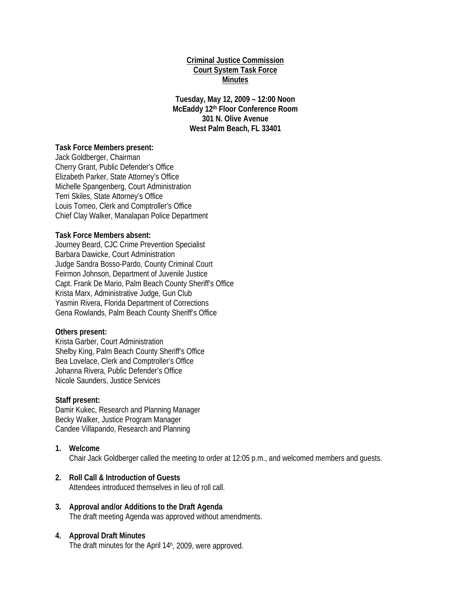## **Criminal Justice Commission Court System Task Force Minutes**

**Tuesday, May 12, 2009 – 12:00 Noon McEaddy 12th Floor Conference Room 301 N. Olive Avenue West Palm Beach, FL 33401** 

## **Task Force Members present:**

Jack Goldberger, Chairman Cherry Grant, Public Defender's Office Elizabeth Parker, State Attorney's Office Michelle Spangenberg, Court Administration Terri Skiles, State Attorney's Office Louis Tomeo, Clerk and Comptroller's Office Chief Clay Walker, Manalapan Police Department

#### **Task Force Members absent:**

Journey Beard, CJC Crime Prevention Specialist Barbara Dawicke, Court Administration Judge Sandra Bosso-Pardo, County Criminal Court Feirmon Johnson, Department of Juvenile Justice Capt. Frank De Mario, Palm Beach County Sheriff's Office Krista Marx, Administrative Judge, Gun Club Yasmin Rivera, Florida Department of Corrections Gena Rowlands, Palm Beach County Sheriff's Office

#### **Others present:**

Krista Garber, Court Administration Shelby King, Palm Beach County Sheriff's Office Bea Lovelace, Clerk and Comptroller's Office Johanna Rivera, Public Defender's Office Nicole Saunders, Justice Services

#### **Staff present:**

Damir Kukec, Research and Planning Manager Becky Walker, Justice Program Manager Candee Villapando, Research and Planning

#### **1. Welcome**

Chair Jack Goldberger called the meeting to order at 12:05 p.m., and welcomed members and guests.

## **2. Roll Call & Introduction of Guests**

Attendees introduced themselves in lieu of roll call.

### **3. Approval and/or Additions to the Draft Agenda**  The draft meeting Agenda was approved without amendments.

#### **4. Approval Draft Minutes**

The draft minutes for the April 14h, 2009, were approved.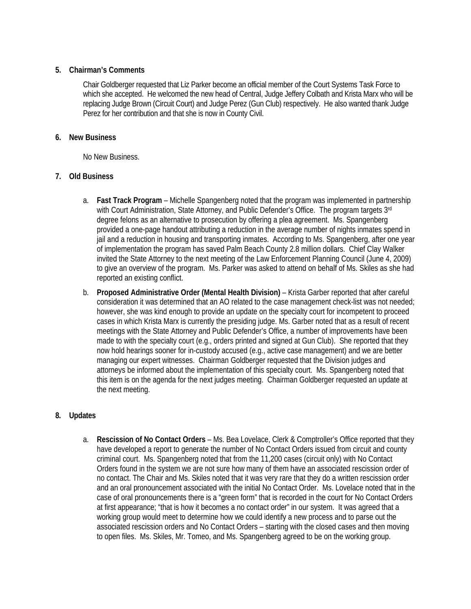# **5. Chairman's Comments**

Chair Goldberger requested that Liz Parker become an official member of the Court Systems Task Force to which she accepted. He welcomed the new head of Central, Judge Jeffery Colbath and Krista Marx who will be replacing Judge Brown (Circuit Court) and Judge Perez (Gun Club) respectively. He also wanted thank Judge Perez for her contribution and that she is now in County Civil.

# **6. New Business**

No New Business.

# **7. Old Business**

- a. **Fast Track Program** Michelle Spangenberg noted that the program was implemented in partnership with Court Administration, State Attorney, and Public Defender's Office. The program targets 3rd degree felons as an alternative to prosecution by offering a plea agreement. Ms. Spangenberg provided a one-page handout attributing a reduction in the average number of nights inmates spend in jail and a reduction in housing and transporting inmates. According to Ms. Spangenberg, after one year of implementation the program has saved Palm Beach County 2.8 million dollars. Chief Clay Walker invited the State Attorney to the next meeting of the Law Enforcement Planning Council (June 4, 2009) to give an overview of the program. Ms. Parker was asked to attend on behalf of Ms. Skiles as she had reported an existing conflict.
- b. **Proposed Administrative Order (Mental Health Division)** Krista Garber reported that after careful consideration it was determined that an AO related to the case management check-list was not needed; however, she was kind enough to provide an update on the specialty court for incompetent to proceed cases in which Krista Marx is currently the presiding judge. Ms. Garber noted that as a result of recent meetings with the State Attorney and Public Defender's Office, a number of improvements have been made to with the specialty court (e.g., orders printed and signed at Gun Club). She reported that they now hold hearings sooner for in-custody accused (e.g., active case management) and we are better managing our expert witnesses. Chairman Goldberger requested that the Division judges and attorneys be informed about the implementation of this specialty court. Ms. Spangenberg noted that this item is on the agenda for the next judges meeting. Chairman Goldberger requested an update at the next meeting.

# **8. Updates**

a. **Rescission of No Contact Orders** – Ms. Bea Lovelace, Clerk & Comptroller's Office reported that they have developed a report to generate the number of No Contact Orders issued from circuit and county criminal court. Ms. Spangenberg noted that from the 11,200 cases (circuit only) with No Contact Orders found in the system we are not sure how many of them have an associated rescission order of no contact. The Chair and Ms. Skiles noted that it was very rare that they do a written rescission order and an oral pronouncement associated with the initial No Contact Order. Ms. Lovelace noted that in the case of oral pronouncements there is a "green form" that is recorded in the court for No Contact Orders at first appearance; "that is how it becomes a no contact order" in our system. It was agreed that a working group would meet to determine how we could identify a new process and to parse out the associated rescission orders and No Contact Orders – starting with the closed cases and then moving to open files. Ms. Skiles, Mr. Tomeo, and Ms. Spangenberg agreed to be on the working group.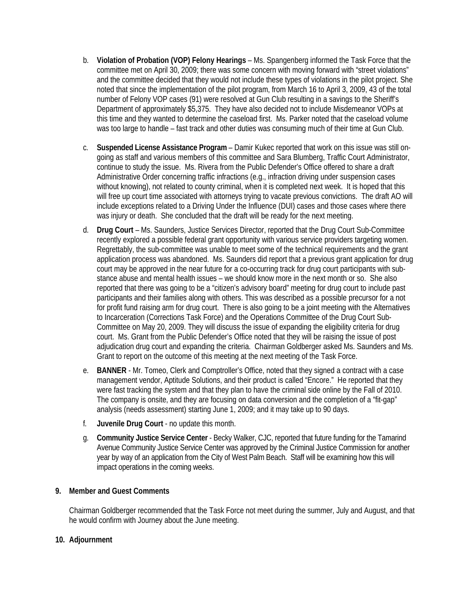- b. **Violation of Probation (VOP) Felony Hearings**  Ms. Spangenberg informed the Task Force that the committee met on April 30, 2009; there was some concern with moving forward with "street violations" and the committee decided that they would not include these types of violations in the pilot project. She noted that since the implementation of the pilot program, from March 16 to April 3, 2009, 43 of the total number of Felony VOP cases (91) were resolved at Gun Club resulting in a savings to the Sheriff's Department of approximately \$5,375. They have also decided not to include Misdemeanor VOPs at this time and they wanted to determine the caseload first. Ms. Parker noted that the caseload volume was too large to handle – fast track and other duties was consuming much of their time at Gun Club.
- c. **Suspended License Assistance Program**  Damir Kukec reported that work on this issue was still ongoing as staff and various members of this committee and Sara Blumberg, Traffic Court Administrator, continue to study the issue. Ms. Rivera from the Public Defender's Office offered to share a draft Administrative Order concerning traffic infractions (e.g., infraction driving under suspension cases without knowing), not related to county criminal, when it is completed next week. It is hoped that this will free up court time associated with attorneys trying to vacate previous convictions. The draft AO will include exceptions related to a Driving Under the Influence (DUI) cases and those cases where there was injury or death. She concluded that the draft will be ready for the next meeting.
- d. **Drug Court**  Ms. Saunders, Justice Services Director, reported that the Drug Court Sub-Committee recently explored a possible federal grant opportunity with various service providers targeting women. Regrettably, the sub-committee was unable to meet some of the technical requirements and the grant application process was abandoned. Ms. Saunders did report that a previous grant application for drug court may be approved in the near future for a co-occurring track for drug court participants with substance abuse and mental health issues – we should know more in the next month or so. She also reported that there was going to be a "citizen's advisory board" meeting for drug court to include past participants and their families along with others. This was described as a possible precursor for a not for profit fund raising arm for drug court. There is also going to be a joint meeting with the Alternatives to Incarceration (Corrections Task Force) and the Operations Committee of the Drug Court Sub-Committee on May 20, 2009. They will discuss the issue of expanding the eligibility criteria for drug court. Ms. Grant from the Public Defender's Office noted that they will be raising the issue of post adjudication drug court and expanding the criteria. Chairman Goldberger asked Ms. Saunders and Ms. Grant to report on the outcome of this meeting at the next meeting of the Task Force.
- e. **BANNER**  Mr. Tomeo, Clerk and Comptroller's Office, noted that they signed a contract with a case management vendor, Aptitude Solutions, and their product is called "Encore." He reported that they were fast tracking the system and that they plan to have the criminal side online by the Fall of 2010. The company is onsite, and they are focusing on data conversion and the completion of a "fit-gap" analysis (needs assessment) starting June 1, 2009; and it may take up to 90 days.
- f. **Juvenile Drug Court**  no update this month.
- g. **Community Justice Service Center**  Becky Walker, CJC, reported that future funding for the Tamarind Avenue Community Justice Service Center was approved by the Criminal Justice Commission for another year by way of an application from the City of West Palm Beach. Staff will be examining how this will impact operations in the coming weeks.

# **9. Member and Guest Comments**

Chairman Goldberger recommended that the Task Force not meet during the summer, July and August, and that he would confirm with Journey about the June meeting.

## **10. Adjournment**